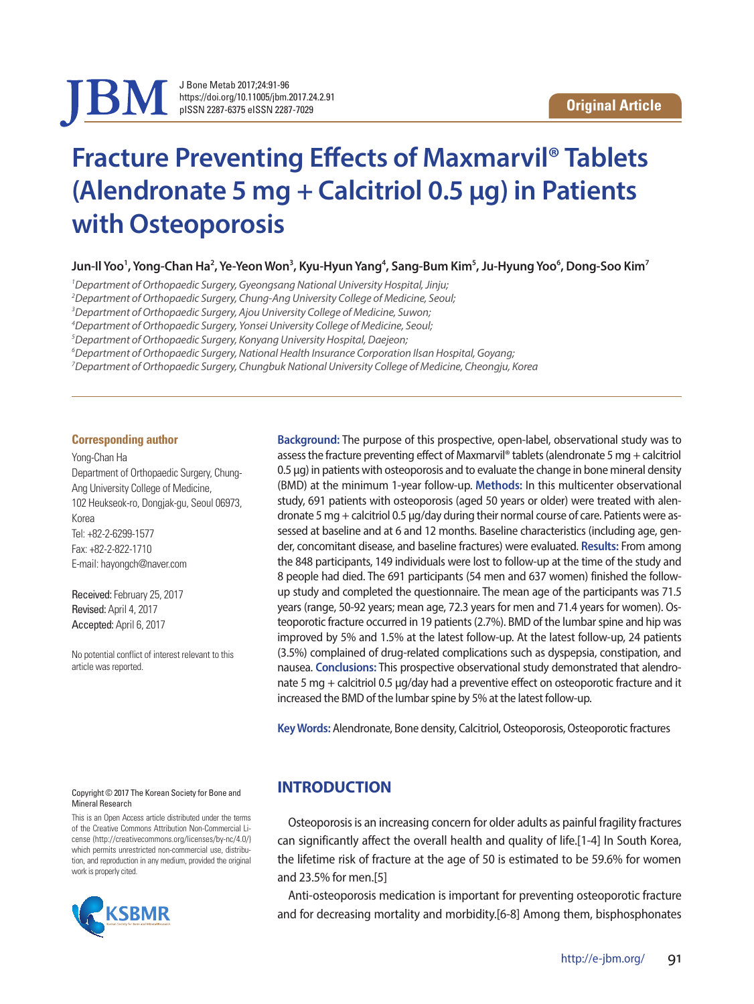

J Bone Metab 2017;24:91-96 https://doi.org/10.11005/jbm.2017.24.2.91 pISSN 2287-6375 eISSN 2287-7029

# **Fracture Preventing Effects of Maxmarvil® Tablets (Alendronate 5 mg + Calcitriol 0.5 μg) in Patients with Osteoporosis**

Jun-Il Yoo<sup>1</sup>, Yong-Chan Ha<sup>2</sup>, Ye-Yeon Won<sup>3</sup>, Kyu-Hyun Yang<sup>4</sup>, Sang-Bum Kim<sup>5</sup>, Ju-Hyung Yoo<sup>6</sup>, Dong-Soo Kim<sup>7</sup>

*1 Department of Orthopaedic Surgery, Gyeongsang National University Hospital, Jinju;* 

*2 Department of Orthopaedic Surgery, Chung-Ang University College of Medicine, Seoul;* 

*3 Department of Orthopaedic Surgery, Ajou University College of Medicine, Suwon;* 

*4 Department of Orthopaedic Surgery, Yonsei University College of Medicine, Seoul;* 

*5 Department of Orthopaedic Surgery, Konyang University Hospital, Daejeon;* 

*6 Department of Orthopaedic Surgery, National Health Insurance Corporation Ilsan Hospital, Goyang;* 

*7 Department of Orthopaedic Surgery, Chungbuk National University College of Medicine, Cheongju, Korea*

#### **Corresponding author**

Yong-Chan Ha Department of Orthopaedic Surgery, Chung-Ang University College of Medicine, 102 Heukseok-ro, Dongjak-gu, Seoul 06973, Korea Tel: +82-2-6299-1577 Fax: +82-2-822-1710 E-mail: hayongch@naver.com

Received: February 25, 2017 Revised: April 4, 2017 Accepted: April 6, 2017

No potential conflict of interest relevant to this article was reported.

**Background:** The purpose of this prospective, open-label, observational study was to assess the fracture preventing effect of Maxmarvil® tablets (alendronate 5 mg + calcitriol 0.5 μg) in patients with osteoporosis and to evaluate the change in bone mineral density (BMD) at the minimum 1-year follow-up. **Methods:** In this multicenter observational study, 691 patients with osteoporosis (aged 50 years or older) were treated with alendronate 5 mg + calcitriol 0.5 μg/day during their normal course of care. Patients were assessed at baseline and at 6 and 12 months. Baseline characteristics (including age, gender, concomitant disease, and baseline fractures) were evaluated. **Results:** From among the 848 participants, 149 individuals were lost to follow-up at the time of the study and 8 people had died. The 691 participants (54 men and 637 women) finished the followup study and completed the questionnaire. The mean age of the participants was 71.5 years (range, 50-92 years; mean age, 72.3 years for men and 71.4 years for women). Osteoporotic fracture occurred in 19 patients (2.7%). BMD of the lumbar spine and hip was improved by 5% and 1.5% at the latest follow-up. At the latest follow-up, 24 patients (3.5%) complained of drug-related complications such as dyspepsia, constipation, and nausea. **Conclusions:** This prospective observational study demonstrated that alendronate 5 mg + calcitriol 0.5 μg/day had a preventive effect on osteoporotic fracture and it increased the BMD of the lumbar spine by 5% at the latest follow-up.

**Key Words:** Alendronate, Bone density, Calcitriol, Osteoporosis, Osteoporotic fractures

#### Copyright © 2017 The Korean Society for Bone and Mineral Research

This is an Open Access article distributed under the terms of the Creative Commons Attribution Non-Commercial License (http://creativecommons.org/licenses/by-nc/4.0/) which permits unrestricted non-commercial use, distribution, and reproduction in any medium, provided the original work is properly cited.



## **INTRODUCTION**

Osteoporosis is an increasing concern for older adults as painful fragility fractures can significantly affect the overall health and quality of life.[1-4] In South Korea, the lifetime risk of fracture at the age of 50 is estimated to be 59.6% for women and 23.5% for men.[5]

Anti-osteoporosis medication is important for preventing osteoporotic fracture and for decreasing mortality and morbidity.[6-8] Among them, bisphosphonates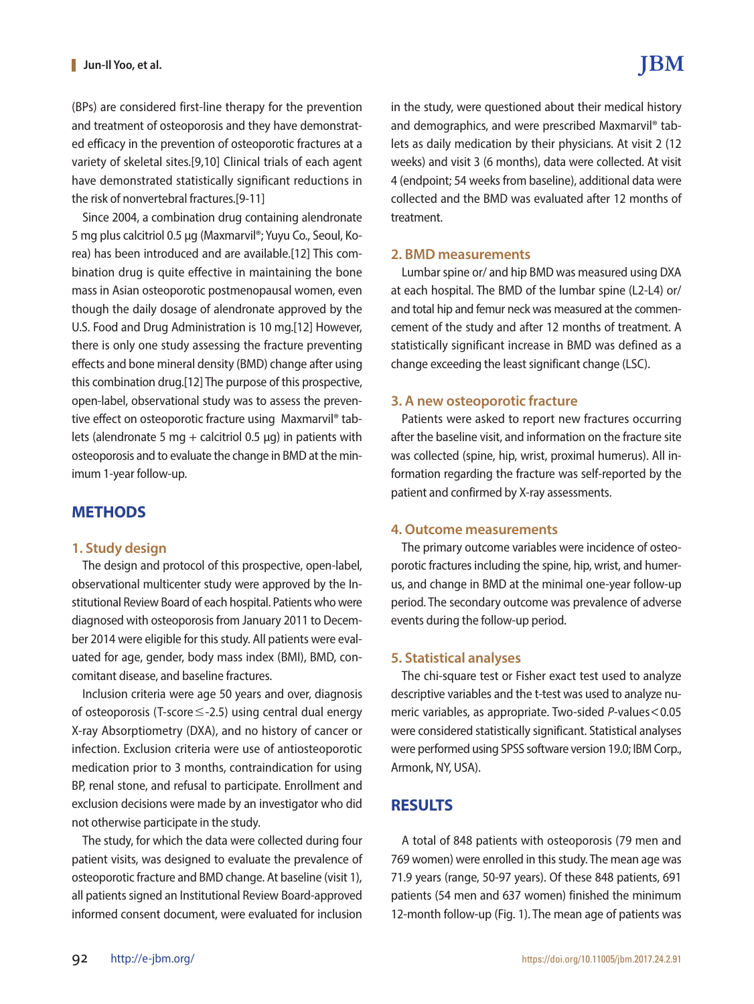(BPs) are considered first-line therapy for the prevention and treatment of osteoporosis and they have demonstrated efficacy in the prevention of osteoporotic fractures at a variety of skeletal sites.[9,10] Clinical trials of each agent have demonstrated statistically significant reductions in the risk of nonvertebral fractures.[9-11]

Since 2004, a combination drug containing alendronate 5 mg plus calcitriol 0.5 μg (Maxmarvil®; Yuyu Co., Seoul, Korea) has been introduced and are available.[12] This combination drug is quite effective in maintaining the bone mass in Asian osteoporotic postmenopausal women, even though the daily dosage of alendronate approved by the U.S. Food and Drug Administration is 10 mg.[12] However, there is only one study assessing the fracture preventing effects and bone mineral density (BMD) change after using this combination drug.[12] The purpose of this prospective, open-label, observational study was to assess the preventive effect on osteoporotic fracture using Maxmarvil® tablets (alendronate 5 mg + calcitriol 0.5  $\mu$ g) in patients with osteoporosis and to evaluate the change in BMD at the minimum 1-year follow-up.

### **METHODS**

### **1. Study design**

The design and protocol of this prospective, open-label, observational multicenter study were approved by the Institutional Review Board of each hospital. Patients who were diagnosed with osteoporosis from January 2011 to December 2014 were eligible for this study. All patients were evaluated for age, gender, body mass index (BMI), BMD, concomitant disease, and baseline fractures.

Inclusion criteria were age 50 years and over, diagnosis of osteoporosis (T-score≤-2.5) using central dual energy X-ray Absorptiometry (DXA), and no history of cancer or infection. Exclusion criteria were use of antiosteoporotic medication prior to 3 months, contraindication for using BP, renal stone, and refusal to participate. Enrollment and exclusion decisions were made by an investigator who did not otherwise participate in the study.

The study, for which the data were collected during four patient visits, was designed to evaluate the prevalence of osteoporotic fracture and BMD change. At baseline (visit 1), all patients signed an Institutional Review Board-approved informed consent document, were evaluated for inclusion

in the study, were questioned about their medical history and demographics, and were prescribed Maxmarvil® tablets as daily medication by their physicians. At visit 2 (12 weeks) and visit 3 (6 months), data were collected. At visit 4 (endpoint; 54 weeks from baseline), additional data were collected and the BMD was evaluated after 12 months of

### **2. BMD measurements**

treatment.

Lumbar spine or/ and hip BMD was measured using DXA at each hospital. The BMD of the lumbar spine (L2-L4) or/ and total hip and femur neck was measured at the commencement of the study and after 12 months of treatment. A statistically significant increase in BMD was defined as a change exceeding the least significant change (LSC).

### **3. A new osteoporotic fracture**

Patients were asked to report new fractures occurring after the baseline visit, and information on the fracture site was collected (spine, hip, wrist, proximal humerus). All information regarding the fracture was self-reported by the patient and confirmed by X-ray assessments.

### **4. Outcome measurements**

The primary outcome variables were incidence of osteoporotic fractures including the spine, hip, wrist, and humerus, and change in BMD at the minimal one-year follow-up period. The secondary outcome was prevalence of adverse events during the follow-up period.

### **5. Statistical analyses**

The chi-square test or Fisher exact test used to analyze descriptive variables and the t-test was used to analyze numeric variables, as appropriate. Two-sided *P*-values<0.05 were considered statistically significant. Statistical analyses were performed using SPSS software version 19.0; IBM Corp., Armonk, NY, USA).

## **RESULTS**

A total of 848 patients with osteoporosis (79 men and 769 women) were enrolled in this study. The mean age was 71.9 years (range, 50-97 years). Of these 848 patients, 691 patients (54 men and 637 women) finished the minimum 12-month follow-up (Fig. 1). The mean age of patients was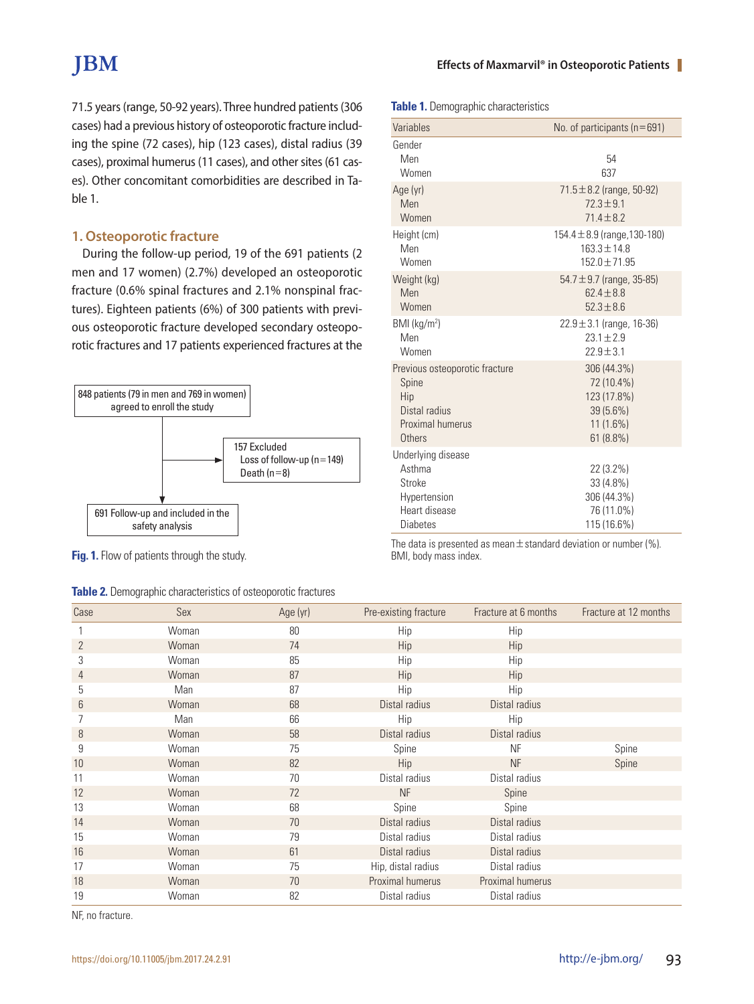# **JBM**

**Table 1.** Demographic characteristics

71.5 years (range, 50-92 years). Three hundred patients (306 cases) had a previous history of osteoporotic fracture including the spine (72 cases), hip (123 cases), distal radius (39 cases), proximal humerus (11 cases), and other sites (61 cases). Other concomitant comorbidities are described in Table 1.

### **1. Osteoporotic fracture**

During the follow-up period, 19 of the 691 patients (2 men and 17 women) (2.7%) developed an osteoporotic fracture (0.6% spinal fractures and 2.1% nonspinal fractures). Eighteen patients (6%) of 300 patients with previous osteoporotic fracture developed secondary osteoporotic fractures and 17 patients experienced fractures at the



**Fig. 1.** Flow of patients through the study.

### **Table 2.** Demographic characteristics of osteoporotic fractures

| Variables                                                                                  | No. of participants ( $n = 691$ )                                  |
|--------------------------------------------------------------------------------------------|--------------------------------------------------------------------|
| Gender<br>Men<br>Women                                                                     | 54<br>637                                                          |
| Age (yr)                                                                                   | 71.5 ± 8.2 (range, 50-92)                                          |
| Men                                                                                        | $72.3 \pm 9.1$                                                     |
| Women                                                                                      | $714 + 82$                                                         |
| Height (cm)                                                                                | 154.4 $\pm$ 8.9 (range, 130-180)                                   |
| Men                                                                                        | $163.3 \pm 14.8$                                                   |
| Women                                                                                      | 152.0±71.95                                                        |
| Weight (kg)                                                                                | 54.7 $\pm$ 9.7 (range, 35-85)                                      |
| Men                                                                                        | $624 + 88$                                                         |
| Women                                                                                      | $52.3 \pm 8.6$                                                     |
| BMI (kg/m <sup>2</sup> )                                                                   | $22.9 \pm 3.1$ (range, 16-36)                                      |
| Men                                                                                        | $23.1 \pm 2.9$                                                     |
| Women                                                                                      | $22.9 \pm 3.1$                                                     |
| Previous osteoporotic fracture                                                             | 306 (44.3%)                                                        |
| Spine                                                                                      | 72 (10.4%)                                                         |
| Hip                                                                                        | 123 (17.8%)                                                        |
| Distal radius                                                                              | 39 (5.6%)                                                          |
| Proximal humerus                                                                           | $11(1.6\%)$                                                        |
| Others                                                                                     | 61(8.8%)                                                           |
| Underlying disease<br>Asthma<br>Stroke<br>Hypertension<br>Heart disease<br><b>Diabetes</b> | 22 (3.2%)<br>33 (4.8%)<br>306 (44.3%)<br>76 (11.0%)<br>115 (16.6%) |

The data is presented as mean $\pm$  standard deviation or number (%). BMI, body mass index.

| Case | Sex   | Age (yr) | Pre-existing fracture | Fracture at 6 months | Fracture at 12 months |
|------|-------|----------|-----------------------|----------------------|-----------------------|
|      | Woman | 80       | Hip                   | Hip                  |                       |
| 2    | Woman | 74       | Hip                   | Hip                  |                       |
| 3    | Woman | 85       | Hip                   | Hip                  |                       |
| 4    | Woman | 87       | Hip                   | Hip                  |                       |
| 5    | Man   | 87       | Hip                   | Hip                  |                       |
| 6    | Woman | 68       | Distal radius         | Distal radius        |                       |
|      | Man   | 66       | Hip                   | Hip                  |                       |
| 8    | Woman | 58       | Distal radius         | Distal radius        |                       |
| 9    | Woman | 75       | Spine                 | <b>NF</b>            | Spine                 |
| 10   | Woman | 82       | Hip                   | <b>NF</b>            | Spine                 |
| 11   | Woman | 70       | Distal radius         | Distal radius        |                       |
| 12   | Woman | 72       | <b>NF</b>             | Spine                |                       |
| 13   | Woman | 68       | Spine                 | Spine                |                       |
| 14   | Woman | 70       | Distal radius         | Distal radius        |                       |
| 15   | Woman | 79       | Distal radius         | Distal radius        |                       |
| 16   | Woman | 61       | Distal radius         | Distal radius        |                       |
| 17   | Woman | 75       | Hip, distal radius    | Distal radius        |                       |
| 18   | Woman | 70       | Proximal humerus      | Proximal humerus     |                       |
| 19   | Woman | 82       | Distal radius         | Distal radius        |                       |

NF, no fracture.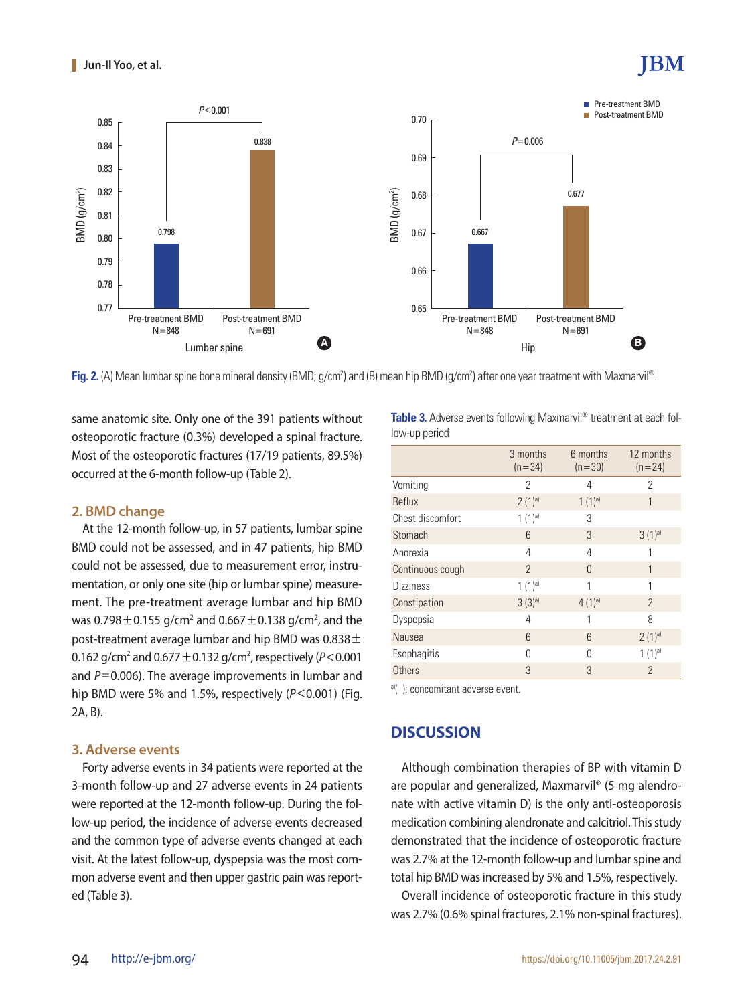# BM



**Fig. 2.** (A) Mean lumbar spine bone mineral density (BMD; g/cm<sup>2</sup>) and (B) mean hip BMD (g/cm<sup>2</sup>) after one year treatment with Maxmarvil®.

same anatomic site. Only one of the 391 patients without osteoporotic fracture (0.3%) developed a spinal fracture. Most of the osteoporotic fractures (17/19 patients, 89.5%) occurred at the 6-month follow-up (Table 2).

### **2. BMD change**

At the 12-month follow-up, in 57 patients, lumbar spine BMD could not be assessed, and in 47 patients, hip BMD could not be assessed, due to measurement error, instrumentation, or only one site (hip or lumbar spine) measurement. The pre-treatment average lumbar and hip BMD was 0.798 $\pm$ 0.155 g/cm $^2$  and 0.667  $\pm$ 0.138 g/cm $^2$ , and the post-treatment average lumbar and hip BMD was  $0.838 \pm 1$ 0.162 g/cm<sup>2</sup> and 0.677  $\pm$  0.132 g/cm<sup>2</sup>, respectively (P<0.001 and *P*=0.006). The average improvements in lumbar and hip BMD were 5% and 1.5%, respectively (*P*<0.001) (Fig. 2A, B).

### **3. Adverse events**

Forty adverse events in 34 patients were reported at the 3-month follow-up and 27 adverse events in 24 patients were reported at the 12-month follow-up. During the follow-up period, the incidence of adverse events decreased and the common type of adverse events changed at each visit. At the latest follow-up, dyspepsia was the most common adverse event and then upper gastric pain was reported (Table 3).

| Table 3. Adverse events following Maxmarvil® treatment at each fol- |  |
|---------------------------------------------------------------------|--|
| low-up period                                                       |  |

|                  | 3 months<br>$(n=34)$ | 6 months<br>$(n=30)$ | 12 months<br>$(n=24)$ |
|------------------|----------------------|----------------------|-----------------------|
| Vomiting         | 2                    | 4                    | $\overline{2}$        |
| Reflux           | $2(1)^{a}$           | $1(1)^{a}$           | 1                     |
| Chest discomfort | $1(1)^{a}$           | 3                    |                       |
| Stomach          | $6\overline{6}$      | 3                    | 3(1) <sup>a</sup>     |
| Anorexia         | 4                    | 4                    | 1                     |
| Continuous cough | $\mathcal{P}$        | $\Omega$             | 1                     |
| <b>Dizziness</b> | $1(1)^{a}$           | 1                    | 1                     |
| Constipation     | 3(3) <sup>a</sup>    | $4(1)$ <sup>a)</sup> | $\mathcal{P}$         |
| Dyspepsia        | 4                    |                      | 8                     |
| Nausea           | 6                    | 6                    | $2(1)^{a}$            |
| Esophagitis      | U                    | $\cap$               | $1(1)^a$              |
| Others           | 3                    | 3                    | $\mathcal{P}$         |

a)(): concomitant adverse event.

## **DISCUSSION**

Although combination therapies of BP with vitamin D are popular and generalized, Maxmarvil® (5 mg alendronate with active vitamin D) is the only anti-osteoporosis medication combining alendronate and calcitriol. This study demonstrated that the incidence of osteoporotic fracture was 2.7% at the 12-month follow-up and lumbar spine and total hip BMD was increased by 5% and 1.5%, respectively.

Overall incidence of osteoporotic fracture in this study was 2.7% (0.6% spinal fractures, 2.1% non-spinal fractures).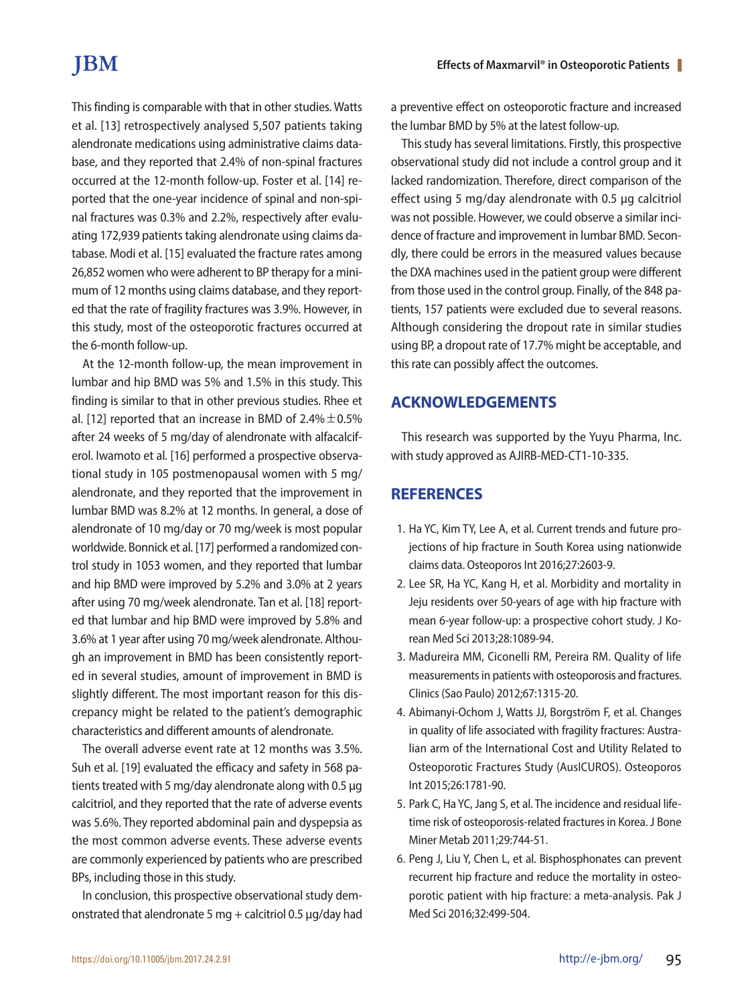# **IBM**

This finding is comparable with that in other studies. Watts et al. [13] retrospectively analysed 5,507 patients taking alendronate medications using administrative claims database, and they reported that 2.4% of non-spinal fractures occurred at the 12-month follow-up. Foster et al. [14] reported that the one-year incidence of spinal and non-spinal fractures was 0.3% and 2.2%, respectively after evaluating 172,939 patients taking alendronate using claims database. Modi et al. [15] evaluated the fracture rates among 26,852 women who were adherent to BP therapy for a minimum of 12 months using claims database, and they reported that the rate of fragility fractures was 3.9%. However, in this study, most of the osteoporotic fractures occurred at the 6-month follow-up.

At the 12-month follow-up, the mean improvement in lumbar and hip BMD was 5% and 1.5% in this study. This finding is similar to that in other previous studies. Rhee et al. [12] reported that an increase in BMD of  $2.4\% \pm 0.5\%$ after 24 weeks of 5 mg/day of alendronate with alfacalciferol. Iwamoto et al. [16] performed a prospective observational study in 105 postmenopausal women with 5 mg/ alendronate, and they reported that the improvement in lumbar BMD was 8.2% at 12 months. In general, a dose of alendronate of 10 mg/day or 70 mg/week is most popular worldwide. Bonnick et al. [17] performed a randomized control study in 1053 women, and they reported that lumbar and hip BMD were improved by 5.2% and 3.0% at 2 years after using 70 mg/week alendronate. Tan et al. [18] reported that lumbar and hip BMD were improved by 5.8% and 3.6% at 1 year after using 70 mg/week alendronate. Although an improvement in BMD has been consistently reported in several studies, amount of improvement in BMD is slightly different. The most important reason for this discrepancy might be related to the patient's demographic characteristics and different amounts of alendronate.

The overall adverse event rate at 12 months was 3.5%. Suh et al. [19] evaluated the efficacy and safety in 568 patients treated with 5 mg/day alendronate along with 0.5 μg calcitriol, and they reported that the rate of adverse events was 5.6%. They reported abdominal pain and dyspepsia as the most common adverse events. These adverse events are commonly experienced by patients who are prescribed BPs, including those in this study.

In conclusion, this prospective observational study demonstrated that alendronate 5 mg + calcitriol 0.5 μg/day had a preventive effect on osteoporotic fracture and increased the lumbar BMD by 5% at the latest follow-up.

This study has several limitations. Firstly, this prospective observational study did not include a control group and it lacked randomization. Therefore, direct comparison of the effect using 5 mg/day alendronate with 0.5 μg calcitriol was not possible. However, we could observe a similar incidence of fracture and improvement in lumbar BMD. Secondly, there could be errors in the measured values because the DXA machines used in the patient group were different from those used in the control group. Finally, of the 848 patients, 157 patients were excluded due to several reasons. Although considering the dropout rate in similar studies using BP, a dropout rate of 17.7% might be acceptable, and this rate can possibly affect the outcomes.

# **ACKNOWLEDGEMENTS**

This research was supported by the Yuyu Pharma, Inc. with study approved as AJIRB-MED-CT1-10-335.

# **REFERENCES**

- 1. Ha YC, Kim TY, Lee A, et al. Current trends and future projections of hip fracture in South Korea using nationwide claims data. Osteoporos Int 2016;27:2603-9.
- 2. Lee SR, Ha YC, Kang H, et al. Morbidity and mortality in Jeju residents over 50-years of age with hip fracture with mean 6-year follow-up: a prospective cohort study. J Korean Med Sci 2013;28:1089-94.
- 3. Madureira MM, Ciconelli RM, Pereira RM. Quality of life measurements in patients with osteoporosis and fractures. Clinics (Sao Paulo) 2012;67:1315-20.
- 4. Abimanyi-Ochom J, Watts JJ, Borgström F, et al. Changes in quality of life associated with fragility fractures: Australian arm of the International Cost and Utility Related to Osteoporotic Fractures Study (AusICUROS). Osteoporos Int 2015;26:1781-90.
- 5. Park C, Ha YC, Jang S, et al. The incidence and residual lifetime risk of osteoporosis-related fractures in Korea. J Bone Miner Metab 2011;29:744-51.
- 6. Peng J, Liu Y, Chen L, et al. Bisphosphonates can prevent recurrent hip fracture and reduce the mortality in osteoporotic patient with hip fracture: a meta-analysis. Pak J Med Sci 2016;32:499-504.